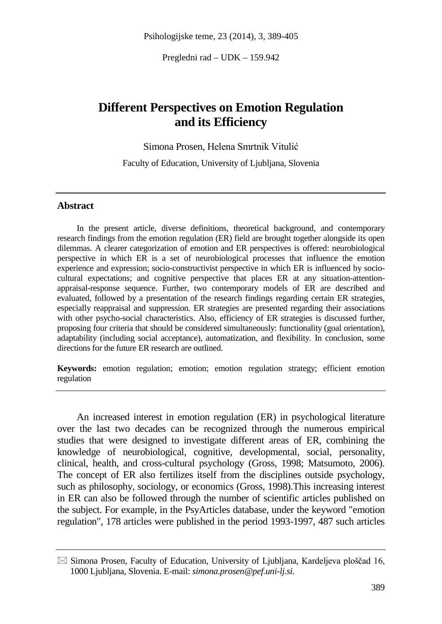Pregledni rad – UDK – 159.942

# **Different Perspectives on Emotion Regulation and its Efficiency**

Simona Prosen, Helena Smrtnik Vitulić

Faculty of Education, University of Ljubljana, Slovenia

#### **Abstract**

In the present article, diverse definitions, theoretical background, and contemporary research findings from the emotion regulation (ER) field are brought together alongside its open dilemmas. A clearer categorization of emotion and ER perspectives is offered: neurobiological perspective in which ER is a set of neurobiological processes that influence the emotion experience and expression; socio-constructivist perspective in which ER is influenced by sociocultural expectations; and cognitive perspective that places ER at any situation-attentionappraisal-response sequence. Further, two contemporary models of ER are described and evaluated, followed by a presentation of the research findings regarding certain ER strategies, especially reappraisal and suppression. ER strategies are presented regarding their associations with other psycho-social characteristics. Also, efficiency of ER strategies is discussed further, proposing four criteria that should be considered simultaneously: functionality (goal orientation), adaptability (including social acceptance), automatization, and flexibility. In conclusion, some directions for the future ER research are outlined.

**Keywords:** emotion regulation; emotion; emotion regulation strategy; efficient emotion regulation

An increased interest in emotion regulation (ER) in psychological literature over the last two decades can be recognized through the numerous empirical studies that were designed to investigate different areas of ER, combining the knowledge of neurobiological, cognitive, developmental, social, personality, clinical, health, and cross-cultural psychology (Gross, 1998; Matsumoto, 2006). The concept of ER also fertilizes itself from the disciplines outside psychology, such as philosophy, sociology, or economics (Gross, 1998).This increasing interest in ER can also be followed through the number of scientific articles published on the subject. For example, in the PsyArticles database, under the keyword "emotion regulation", 178 articles were published in the period 1993-1997, 487 such articles

 $\boxtimes$  Simona Prosen, Faculty of Education, University of Ljubljana, Kardeljeva ploščad 16, 1000 Ljubljana, Slovenia. E-mail: *simona.prosen@pef.uni-lj.si.*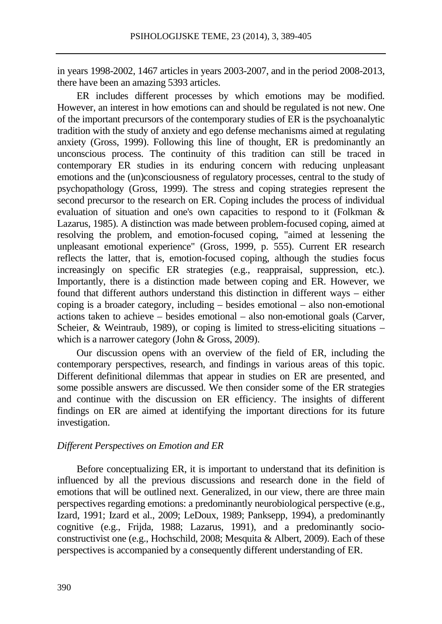in years 1998-2002, 1467 articles in years 2003-2007, and in the period 2008-2013, there have been an amazing 5393 articles.

ER includes different processes by which emotions may be modified. However, an interest in how emotions can and should be regulated is not new. One of the important precursors of the contemporary studies of ER is the psychoanalytic tradition with the study of anxiety and ego defense mechanisms aimed at regulating anxiety (Gross, 1999). Following this line of thought, ER is predominantly an unconscious process. The continuity of this tradition can still be traced in contemporary ER studies in its enduring concern with reducing unpleasant emotions and the (un)consciousness of regulatory processes, central to the study of psychopathology (Gross, 1999). The stress and coping strategies represent the second precursor to the research on ER. Coping includes the process of individual evaluation of situation and one's own capacities to respond to it (Folkman & Lazarus, 1985). A distinction was made between problem-focused coping, aimed at resolving the problem, and emotion-focused coping, "aimed at lessening the unpleasant emotional experience" (Gross, 1999, p. 555). Current ER research reflects the latter, that is, emotion-focused coping, although the studies focus increasingly on specific ER strategies (e.g., reappraisal, suppression, etc.). Importantly, there is a distinction made between coping and ER. However, we found that different authors understand this distinction in different ways – either coping is a broader category, including – besides emotional – also non-emotional actions taken to achieve – besides emotional – also non-emotional goals (Carver, Scheier, & Weintraub, 1989), or coping is limited to stress-eliciting situations – which is a narrower category (John & Gross, 2009).

Our discussion opens with an overview of the field of ER, including the contemporary perspectives, research, and findings in various areas of this topic. Different definitional dilemmas that appear in studies on ER are presented, and some possible answers are discussed. We then consider some of the ER strategies and continue with the discussion on ER efficiency. The insights of different findings on ER are aimed at identifying the important directions for its future investigation.

### *Different Perspectives on Emotion and ER*

Before conceptualizing ER, it is important to understand that its definition is influenced by all the previous discussions and research done in the field of emotions that will be outlined next. Generalized, in our view, there are three main perspectives regarding emotions: a predominantly neurobiological perspective (e.g., Izard, 1991; Izard et al., 2009; LeDoux, 1989; Panksepp, 1994), a predominantly cognitive (e.g., Frijda, 1988; Lazarus, 1991), and a predominantly socioconstructivist one (e.g., Hochschild, 2008; Mesquita & Albert, 2009). Each of these perspectives is accompanied by a consequently different understanding of ER.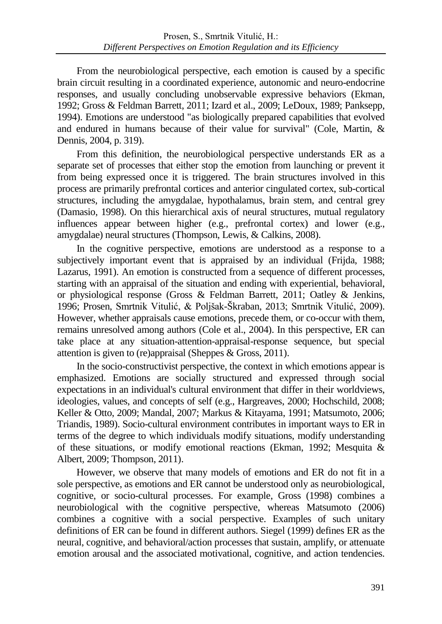From the neurobiological perspective, each emotion is caused by a specific brain circuit resulting in a coordinated experience, autonomic and neuro-endocrine responses, and usually concluding unobservable expressive behaviors (Ekman, 1992; Gross & Feldman Barrett, 2011; Izard et al., 2009; LeDoux, 1989; Panksepp, 1994). Emotions are understood "as biologically prepared capabilities that evolved and endured in humans because of their value for survival" (Cole, Martin, & Dennis, 2004, p. 319).

From this definition, the neurobiological perspective understands ER as a separate set of processes that either stop the emotion from launching or prevent it from being expressed once it is triggered. The brain structures involved in this process are primarily prefrontal cortices and anterior cingulated cortex, sub-cortical structures, including the amygdalae, hypothalamus, brain stem, and central grey (Damasio, 1998). On this hierarchical axis of neural structures, mutual regulatory influences appear between higher (e.g., prefrontal cortex) and lower (e.g., amygdalae) neural structures (Thompson, Lewis, & Calkins, 2008).

In the cognitive perspective, emotions are understood as a response to a subjectively important event that is appraised by an individual (Frijda, 1988; Lazarus, 1991). An emotion is constructed from a sequence of different processes, starting with an appraisal of the situation and ending with experiential, behavioral, or physiological response (Gross & Feldman Barrett, 2011; Oatley & Jenkins, 1996; Prosen, Smrtnik Vitulić, & Poljšak-Škraban, 2013; Smrtnik Vitulić, 2009). However, whether appraisals cause emotions, precede them, or co-occur with them, remains unresolved among authors (Cole et al., 2004). In this perspective, ER can take place at any situation-attention-appraisal-response sequence, but special attention is given to (re)appraisal (Sheppes & Gross, 2011).

In the socio-constructivist perspective, the context in which emotions appear is emphasized. Emotions are socially structured and expressed through social expectations in an individual's cultural environment that differ in their worldviews, ideologies, values, and concepts of self (e.g., Hargreaves, 2000; Hochschild, 2008; Keller & Otto, 2009; Mandal, 2007; Markus & Kitayama, 1991; Matsumoto, 2006; Triandis, 1989). Socio-cultural environment contributes in important ways to ER in terms of the degree to which individuals modify situations, modify understanding of these situations, or modify emotional reactions (Ekman, 1992; Mesquita & Albert, 2009; Thompson, 2011).

However, we observe that many models of emotions and ER do not fit in a sole perspective, as emotions and ER cannot be understood only as neurobiological, cognitive, or socio-cultural processes. For example, Gross (1998) combines a neurobiological with the cognitive perspective, whereas Matsumoto (2006) combines a cognitive with a social perspective. Examples of such unitary definitions of ER can be found in different authors. Siegel (1999) defines ER as the neural, cognitive, and behavioral/action processes that sustain, amplify, or attenuate emotion arousal and the associated motivational, cognitive, and action tendencies.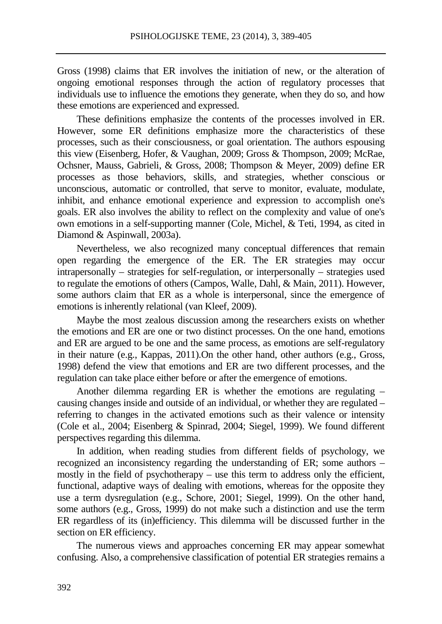Gross (1998) claims that ER involves the initiation of new, or the alteration of ongoing emotional responses through the action of regulatory processes that individuals use to influence the emotions they generate, when they do so, and how these emotions are experienced and expressed.

These definitions emphasize the contents of the processes involved in ER. However, some ER definitions emphasize more the characteristics of these processes, such as their consciousness, or goal orientation. The authors espousing this view (Eisenberg, Hofer, & Vaughan, 2009; Gross & Thompson, 2009; McRae, Ochsner, Mauss, Gabrieli, & Gross, 2008; Thompson & Meyer, 2009) define ER processes as those behaviors, skills, and strategies, whether conscious or unconscious, automatic or controlled, that serve to monitor, evaluate, modulate, inhibit, and enhance emotional experience and expression to accomplish one's goals. ER also involves the ability to reflect on the complexity and value of one's own emotions in a self-supporting manner (Cole, Michel, & Teti, 1994, as cited in Diamond & Aspinwall, 2003a).

Nevertheless, we also recognized many conceptual differences that remain open regarding the emergence of the ER. The ER strategies may occur intrapersonally – strategies for self-regulation, or interpersonally – strategies used to regulate the emotions of others (Campos, Walle, Dahl, & Main, 2011). However, some authors claim that ER as a whole is interpersonal, since the emergence of emotions is inherently relational (van Kleef, 2009).

Maybe the most zealous discussion among the researchers exists on whether the emotions and ER are one or two distinct processes. On the one hand, emotions and ER are argued to be one and the same process, as emotions are self-regulatory in their nature (e.g., Kappas, 2011).On the other hand, other authors (e.g., Gross, 1998) defend the view that emotions and ER are two different processes, and the regulation can take place either before or after the emergence of emotions.

Another dilemma regarding ER is whether the emotions are regulating – causing changes inside and outside of an individual, or whether they are regulated – referring to changes in the activated emotions such as their valence or intensity (Cole et al., 2004; Eisenberg & Spinrad, 2004; Siegel, 1999). We found different perspectives regarding this dilemma.

In addition, when reading studies from different fields of psychology, we recognized an inconsistency regarding the understanding of ER; some authors – mostly in the field of psychotherapy – use this term to address only the efficient, functional, adaptive ways of dealing with emotions, whereas for the opposite they use a term dysregulation (e.g., Schore, 2001; Siegel, 1999). On the other hand, some authors (e.g., Gross, 1999) do not make such a distinction and use the term ER regardless of its (in)efficiency. This dilemma will be discussed further in the section on ER efficiency.

The numerous views and approaches concerning ER may appear somewhat confusing. Also, a comprehensive classification of potential ER strategies remains a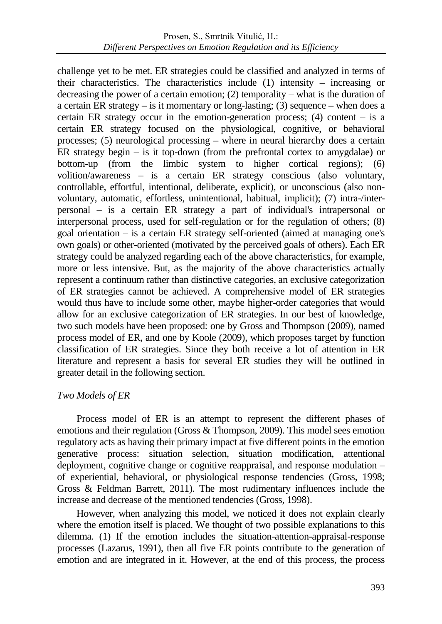challenge yet to be met. ER strategies could be classified and analyzed in terms of their characteristics. The characteristics include (1) intensity – increasing or decreasing the power of a certain emotion; (2) temporality – what is the duration of a certain ER strategy – is it momentary or long-lasting; (3) sequence – when does a certain ER strategy occur in the emotion-generation process;  $(4)$  content – is a certain ER strategy focused on the physiological, cognitive, or behavioral processes; (5) neurological processing – where in neural hierarchy does a certain ER strategy begin – is it top-down (from the prefrontal cortex to amygdalae) or bottom-up (from the limbic system to higher cortical regions); (6) volition/awareness – is a certain ER strategy conscious (also voluntary, controllable, effortful, intentional, deliberate, explicit), or unconscious (also nonvoluntary, automatic, effortless, unintentional, habitual, implicit); (7) intra-/interpersonal – is a certain ER strategy a part of individual's intrapersonal or interpersonal process, used for self-regulation or for the regulation of others; (8) goal orientation – is a certain ER strategy self-oriented (aimed at managing one's own goals) or other-oriented (motivated by the perceived goals of others). Each ER strategy could be analyzed regarding each of the above characteristics, for example, more or less intensive. But, as the majority of the above characteristics actually represent a continuum rather than distinctive categories, an exclusive categorization of ER strategies cannot be achieved. A comprehensive model of ER strategies would thus have to include some other, maybe higher-order categories that would allow for an exclusive categorization of ER strategies. In our best of knowledge, two such models have been proposed: one by Gross and Thompson (2009), named process model of ER, and one by Koole (2009), which proposes target by function classification of ER strategies. Since they both receive a lot of attention in ER literature and represent a basis for several ER studies they will be outlined in greater detail in the following section.

## *Two Models of ER*

Process model of ER is an attempt to represent the different phases of emotions and their regulation (Gross & Thompson, 2009). This model sees emotion regulatory acts as having their primary impact at five different points in the emotion generative process: situation selection, situation modification, attentional deployment, cognitive change or cognitive reappraisal, and response modulation – of experiential, behavioral, or physiological response tendencies (Gross, 1998; Gross & Feldman Barrett, 2011). The most rudimentary influences include the increase and decrease of the mentioned tendencies (Gross, 1998).

However, when analyzing this model, we noticed it does not explain clearly where the emotion itself is placed. We thought of two possible explanations to this dilemma. (1) If the emotion includes the situation-attention-appraisal-response processes (Lazarus, 1991), then all five ER points contribute to the generation of emotion and are integrated in it. However, at the end of this process, the process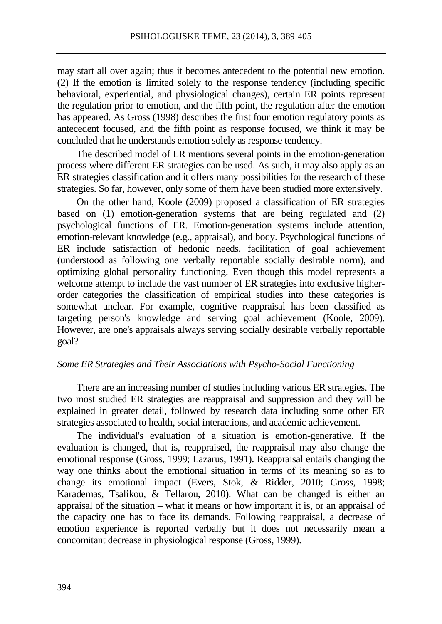may start all over again; thus it becomes antecedent to the potential new emotion. (2) If the emotion is limited solely to the response tendency (including specific behavioral, experiential, and physiological changes), certain ER points represent the regulation prior to emotion, and the fifth point, the regulation after the emotion has appeared. As Gross (1998) describes the first four emotion regulatory points as antecedent focused, and the fifth point as response focused, we think it may be concluded that he understands emotion solely as response tendency.

The described model of ER mentions several points in the emotion-generation process where different ER strategies can be used. As such, it may also apply as an ER strategies classification and it offers many possibilities for the research of these strategies. So far, however, only some of them have been studied more extensively.

On the other hand, Koole (2009) proposed a classification of ER strategies based on (1) emotion-generation systems that are being regulated and (2) psychological functions of ER. Emotion-generation systems include attention, emotion-relevant knowledge (e.g., appraisal), and body. Psychological functions of ER include satisfaction of hedonic needs, facilitation of goal achievement (understood as following one verbally reportable socially desirable norm), and optimizing global personality functioning. Even though this model represents a welcome attempt to include the vast number of ER strategies into exclusive higherorder categories the classification of empirical studies into these categories is somewhat unclear. For example, cognitive reappraisal has been classified as targeting person's knowledge and serving goal achievement (Koole, 2009). However, are one's appraisals always serving socially desirable verbally reportable goal?

### *Some ER Strategies and Their Associations with Psycho-Social Functioning*

There are an increasing number of studies including various ER strategies. The two most studied ER strategies are reappraisal and suppression and they will be explained in greater detail, followed by research data including some other ER strategies associated to health, social interactions, and academic achievement.

The individual's evaluation of a situation is emotion-generative. If the evaluation is changed, that is, reappraised, the reappraisal may also change the emotional response (Gross, 1999; Lazarus, 1991). Reappraisal entails changing the way one thinks about the emotional situation in terms of its meaning so as to change its emotional impact (Evers, Stok, & Ridder, 2010; Gross, 1998; Karademas, Tsalikou, & Tellarou, 2010). What can be changed is either an appraisal of the situation – what it means or how important it is, or an appraisal of the capacity one has to face its demands. Following reappraisal, a decrease of emotion experience is reported verbally but it does not necessarily mean a concomitant decrease in physiological response (Gross, 1999).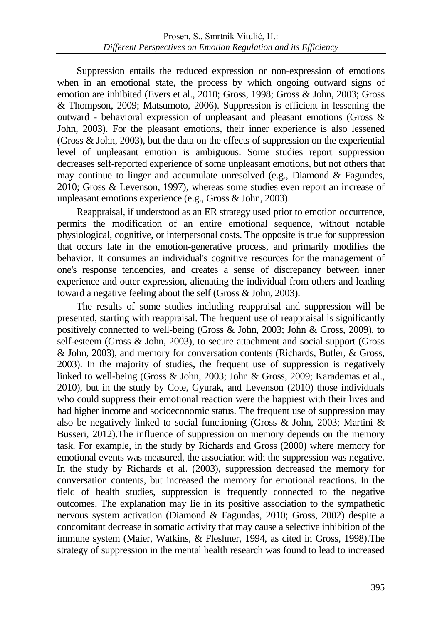Suppression entails the reduced expression or non-expression of emotions when in an emotional state, the process by which ongoing outward signs of emotion are inhibited (Evers et al., 2010; Gross, 1998; Gross & John, 2003; Gross & Thompson, 2009; Matsumoto, 2006). Suppression is efficient in lessening the outward - behavioral expression of unpleasant and pleasant emotions (Gross & John, 2003). For the pleasant emotions, their inner experience is also lessened (Gross & John, 2003), but the data on the effects of suppression on the experiential level of unpleasant emotion is ambiguous. Some studies report suppression decreases self-reported experience of some unpleasant emotions, but not others that may continue to linger and accumulate unresolved (e.g., Diamond & Fagundes, 2010; Gross & Levenson, 1997), whereas some studies even report an increase of unpleasant emotions experience (e.g., Gross & John, 2003).

Reappraisal, if understood as an ER strategy used prior to emotion occurrence, permits the modification of an entire emotional sequence, without notable physiological, cognitive, or interpersonal costs. The opposite is true for suppression that occurs late in the emotion-generative process, and primarily modifies the behavior. It consumes an individual's cognitive resources for the management of one's response tendencies, and creates a sense of discrepancy between inner experience and outer expression, alienating the individual from others and leading toward a negative feeling about the self (Gross & John, 2003).

The results of some studies including reappraisal and suppression will be presented, starting with reappraisal. The frequent use of reappraisal is significantly positively connected to well-being (Gross & John, 2003; John & Gross, 2009), to self-esteem (Gross & John, 2003), to secure attachment and social support (Gross & John, 2003), and memory for conversation contents (Richards, Butler, & Gross, 2003). In the majority of studies, the frequent use of suppression is negatively linked to well-being (Gross & John, 2003; John & Gross, 2009; Karademas et al., 2010), but in the study by Cote, Gyurak, and Levenson (2010) those individuals who could suppress their emotional reaction were the happiest with their lives and had higher income and socioeconomic status. The frequent use of suppression may also be negatively linked to social functioning (Gross & John, 2003; Martini & Busseri, 2012).The influence of suppression on memory depends on the memory task. For example, in the study by Richards and Gross (2000) where memory for emotional events was measured, the association with the suppression was negative. In the study by Richards et al. (2003), suppression decreased the memory for conversation contents, but increased the memory for emotional reactions. In the field of health studies, suppression is frequently connected to the negative outcomes. The explanation may lie in its positive association to the sympathetic nervous system activation (Diamond & Fagundas, 2010; Gross, 2002) despite a concomitant decrease in somatic activity that may cause a selective inhibition of the immune system (Maier, Watkins, & Fleshner, 1994, as cited in Gross, 1998).The strategy of suppression in the mental health research was found to lead to increased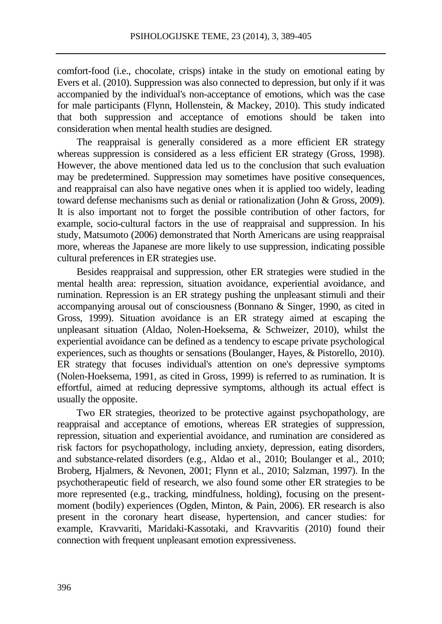comfort-food (i.e., chocolate, crisps) intake in the study on emotional eating by Evers et al. (2010). Suppression was also connected to depression, but only if it was accompanied by the individual's non-acceptance of emotions, which was the case for male participants (Flynn, Hollenstein, & Mackey, 2010). This study indicated that both suppression and acceptance of emotions should be taken into consideration when mental health studies are designed.

The reappraisal is generally considered as a more efficient ER strategy whereas suppression is considered as a less efficient ER strategy (Gross, 1998). However, the above mentioned data led us to the conclusion that such evaluation may be predetermined. Suppression may sometimes have positive consequences, and reappraisal can also have negative ones when it is applied too widely, leading toward defense mechanisms such as denial or rationalization (John & Gross, 2009). It is also important not to forget the possible contribution of other factors, for example, socio-cultural factors in the use of reappraisal and suppression. In his study, Matsumoto (2006) demonstrated that North Americans are using reappraisal more, whereas the Japanese are more likely to use suppression, indicating possible cultural preferences in ER strategies use.

Besides reappraisal and suppression, other ER strategies were studied in the mental health area: repression, situation avoidance, experiential avoidance, and rumination. Repression is an ER strategy pushing the unpleasant stimuli and their accompanying arousal out of consciousness (Bonnano & Singer, 1990, as cited in Gross, 1999). Situation avoidance is an ER strategy aimed at escaping the unpleasant situation (Aldao, Nolen-Hoeksema, & Schweizer, 2010), whilst the experiential avoidance can be defined as a tendency to escape private psychological experiences, such as thoughts or sensations (Boulanger, Hayes, & Pistorello, 2010). ER strategy that focuses individual's attention on one's depressive symptoms (Nolen-Hoeksema, 1991, as cited in Gross, 1999) is referred to as rumination. It is effortful, aimed at reducing depressive symptoms, although its actual effect is usually the opposite.

Two ER strategies, theorized to be protective against psychopathology, are reappraisal and acceptance of emotions, whereas ER strategies of suppression, repression, situation and experiential avoidance, and rumination are considered as risk factors for psychopathology, including anxiety, depression, eating disorders, and substance-related disorders (e.g., Aldao et al., 2010; Boulanger et al., 2010; Broberg, Hjalmers, & Nevonen, 2001; Flynn et al., 2010; Salzman, 1997). In the psychotherapeutic field of research, we also found some other ER strategies to be more represented (e.g., tracking, mindfulness, holding), focusing on the presentmoment (bodily) experiences (Ogden, Minton, & Pain, 2006). ER research is also present in the coronary heart disease, hypertension, and cancer studies: for example, Kravvariti, Maridaki-Kassotaki, and Kravvaritis (2010) found their connection with frequent unpleasant emotion expressiveness.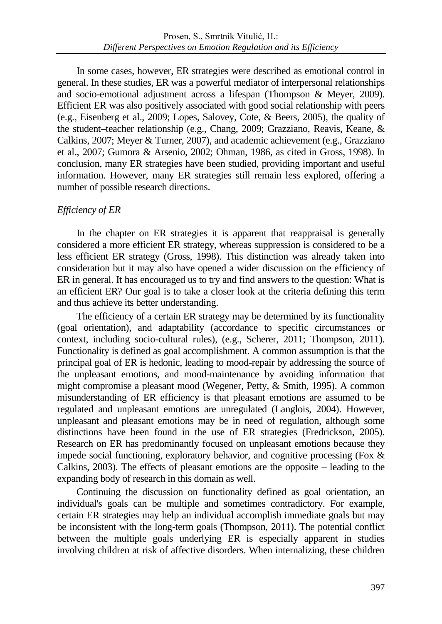In some cases, however, ER strategies were described as emotional control in general. In these studies, ER was a powerful mediator of interpersonal relationships and socio-emotional adjustment across a lifespan (Thompson & Meyer, 2009). Efficient ER was also positively associated with good social relationship with peers (e.g., Eisenberg et al., 2009; Lopes, Salovey, Cote, & Beers, 2005), the quality of the student–teacher relationship (e.g., Chang, 2009; Grazziano, Reavis, Keane, & Calkins, 2007; Meyer & Turner, 2007), and academic achievement (e.g., Grazziano et al., 2007; Gumora & Arsenio, 2002; Ohman, 1986, as cited in Gross, 1998). In conclusion, many ER strategies have been studied, providing important and useful information. However, many ER strategies still remain less explored, offering a number of possible research directions.

## *Efficiency of ER*

In the chapter on ER strategies it is apparent that reappraisal is generally considered a more efficient ER strategy, whereas suppression is considered to be a less efficient ER strategy (Gross, 1998). This distinction was already taken into consideration but it may also have opened a wider discussion on the efficiency of ER in general. It has encouraged us to try and find answers to the question: What is an efficient ER? Our goal is to take a closer look at the criteria defining this term and thus achieve its better understanding.

The efficiency of a certain ER strategy may be determined by its functionality (goal orientation), and adaptability (accordance to specific circumstances or context, including socio-cultural rules), (e.g., Scherer, 2011; Thompson, 2011). Functionality is defined as goal accomplishment. A common assumption is that the principal goal of ER is hedonic, leading to mood-repair by addressing the source of the unpleasant emotions, and mood-maintenance by avoiding information that might compromise a pleasant mood (Wegener, Petty, & Smith, 1995). A common misunderstanding of ER efficiency is that pleasant emotions are assumed to be regulated and unpleasant emotions are unregulated (Langlois, 2004). However, unpleasant and pleasant emotions may be in need of regulation, although some distinctions have been found in the use of ER strategies (Fredrickson, 2005). Research on ER has predominantly focused on unpleasant emotions because they impede social functioning, exploratory behavior, and cognitive processing (Fox & Calkins, 2003). The effects of pleasant emotions are the opposite – leading to the expanding body of research in this domain as well.

Continuing the discussion on functionality defined as goal orientation, an individual's goals can be multiple and sometimes contradictory. For example, certain ER strategies may help an individual accomplish immediate goals but may be inconsistent with the long-term goals (Thompson, 2011). The potential conflict between the multiple goals underlying ER is especially apparent in studies involving children at risk of affective disorders. When internalizing, these children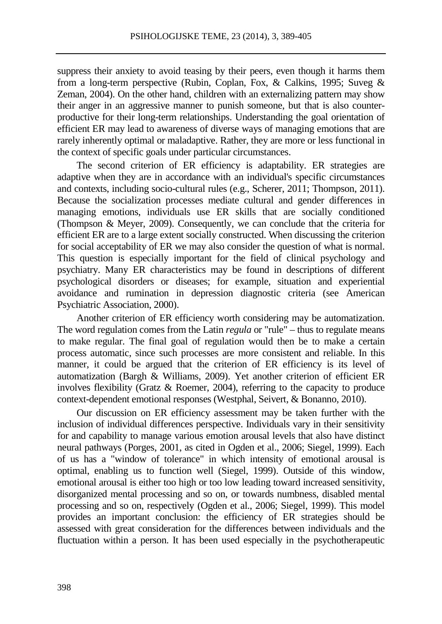suppress their anxiety to avoid teasing by their peers, even though it harms them from a long-term perspective (Rubin, Coplan, Fox, & Calkins, 1995; Suveg & Zeman, 2004). On the other hand, children with an externalizing pattern may show their anger in an aggressive manner to punish someone, but that is also counterproductive for their long-term relationships. Understanding the goal orientation of efficient ER may lead to awareness of diverse ways of managing emotions that are rarely inherently optimal or maladaptive. Rather, they are more or less functional in the context of specific goals under particular circumstances.

The second criterion of ER efficiency is adaptability. ER strategies are adaptive when they are in accordance with an individual's specific circumstances and contexts, including socio-cultural rules (e.g., Scherer, 2011; Thompson, 2011). Because the socialization processes mediate cultural and gender differences in managing emotions, individuals use ER skills that are socially conditioned (Thompson & Meyer, 2009). Consequently, we can conclude that the criteria for efficient ER are to a large extent socially constructed. When discussing the criterion for social acceptability of ER we may also consider the question of what is normal. This question is especially important for the field of clinical psychology and psychiatry. Many ER characteristics may be found in descriptions of different psychological disorders or diseases; for example, situation and experiential avoidance and rumination in depression diagnostic criteria (see American Psychiatric Association, 2000).

Another criterion of ER efficiency worth considering may be automatization. The word regulation comes from the Latin *regula* or "rule" – thus to regulate means to make regular. The final goal of regulation would then be to make a certain process automatic, since such processes are more consistent and reliable. In this manner, it could be argued that the criterion of ER efficiency is its level of automatization (Bargh & Williams, 2009). Yet another criterion of efficient ER involves flexibility (Gratz & Roemer, 2004), referring to the capacity to produce context-dependent emotional responses [\(Westphal,](http://www.ncbi.nlm.nih.gov/pmc/articles/PMC3183326/#R32) Seivert, & Bonanno, 2010).

Our discussion on ER efficiency assessment may be taken further with the inclusion of individual differences perspective. Individuals vary in their sensitivity for and capability to manage various emotion arousal levels that also have distinct neural pathways (Porges, 2001, as cited in Ogden et al., 2006; Siegel, 1999). Each of us has a "window of tolerance" in which intensity of emotional arousal is optimal, enabling us to function well (Siegel, 1999). Outside of this window, emotional arousal is either too high or too low leading toward increased sensitivity, disorganized mental processing and so on, or towards numbness, disabled mental processing and so on, respectively (Ogden et al., 2006; Siegel, 1999). This model provides an important conclusion: the efficiency of ER strategies should be assessed with great consideration for the differences between individuals and the fluctuation within a person. It has been used especially in the psychotherapeutic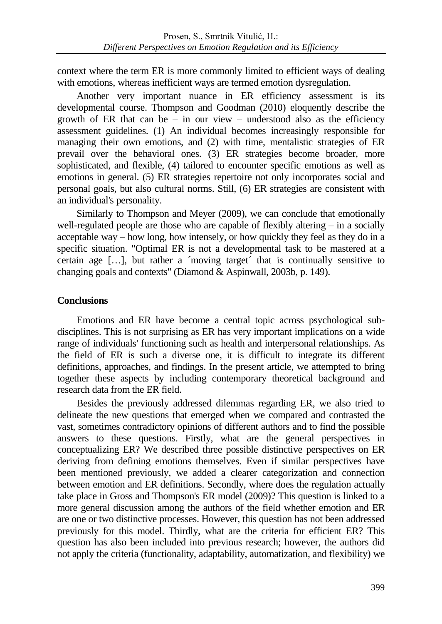context where the term ER is more commonly limited to efficient ways of dealing with emotions, whereas inefficient ways are termed emotion dysregulation.

Another very important nuance in ER efficiency assessment is its developmental course. Thompson and Goodman (2010) eloquently describe the growth of ER that can be – in our view – understood also as the efficiency assessment guidelines. (1) An individual becomes increasingly responsible for managing their own emotions, and (2) with time, mentalistic strategies of ER prevail over the behavioral ones. (3) ER strategies become broader, more sophisticated, and flexible, (4) tailored to encounter specific emotions as well as emotions in general. (5) ER strategies repertoire not only incorporates social and personal goals, but also cultural norms. Still, (6) ER strategies are consistent with an individual's personality.

Similarly to Thompson and Meyer (2009), we can conclude that emotionally well-regulated people are those who are capable of flexibly altering – in a socially acceptable way – how long, how intensely, or how quickly they feel as they do in a specific situation. "Optimal ER is not a developmental task to be mastered at a certain age […], but rather a ´moving target´ that is continually sensitive to changing goals and contexts" (Diamond & Aspinwall, 2003b, p. 149).

## **Conclusions**

Emotions and ER have become a central topic across psychological subdisciplines. This is not surprising as ER has very important implications on a wide range of individuals' functioning such as health and interpersonal relationships. As the field of ER is such a diverse one, it is difficult to integrate its different definitions, approaches, and findings. In the present article, we attempted to bring together these aspects by including contemporary theoretical background and research data from the ER field.

Besides the previously addressed dilemmas regarding ER, we also tried to delineate the new questions that emerged when we compared and contrasted the vast, sometimes contradictory opinions of different authors and to find the possible answers to these questions. Firstly, what are the general perspectives in conceptualizing ER? We described three possible distinctive perspectives on ER deriving from defining emotions themselves. Even if similar perspectives have been mentioned previously, we added a clearer categorization and connection between emotion and ER definitions. Secondly, where does the regulation actually take place in Gross and Thompson's ER model (2009)? This question is linked to a more general discussion among the authors of the field whether emotion and ER are one or two distinctive processes. However, this question has not been addressed previously for this model. Thirdly, what are the criteria for efficient ER? This question has also been included into previous research; however, the authors did not apply the criteria (functionality, adaptability, automatization, and flexibility) we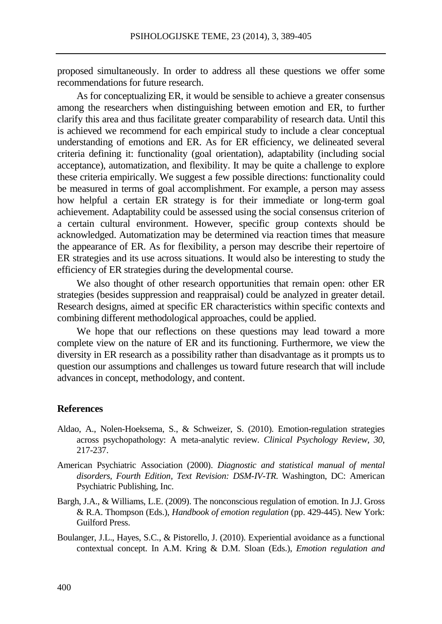proposed simultaneously. In order to address all these questions we offer some recommendations for future research.

As for conceptualizing ER, it would be sensible to achieve a greater consensus among the researchers when distinguishing between emotion and ER, to further clarify this area and thus facilitate greater comparability of research data. Until this is achieved we recommend for each empirical study to include a clear conceptual understanding of emotions and ER. As for ER efficiency, we delineated several criteria defining it: functionality (goal orientation), adaptability (including social acceptance), automatization, and flexibility. It may be quite a challenge to explore these criteria empirically. We suggest a few possible directions: functionality could be measured in terms of goal accomplishment. For example, a person may assess how helpful a certain ER strategy is for their immediate or long-term goal achievement. Adaptability could be assessed using the social consensus criterion of a certain cultural environment. However, specific group contexts should be acknowledged. Automatization may be determined via reaction times that measure the appearance of ER. As for flexibility, a person may describe their repertoire of ER strategies and its use across situations. It would also be interesting to study the efficiency of ER strategies during the developmental course.

We also thought of other research opportunities that remain open: other ER strategies (besides suppression and reappraisal) could be analyzed in greater detail. Research designs, aimed at specific ER characteristics within specific contexts and combining different methodological approaches, could be applied.

We hope that our reflections on these questions may lead toward a more complete view on the nature of ER and its functioning. Furthermore, we view the diversity in ER research as a possibility rather than disadvantage as it prompts us to question our assumptions and challenges us toward future research that will include advances in concept, methodology, and content.

#### **References**

- Aldao, A., Nolen-Hoeksema, S., & Schweizer, S. (2010). Emotion-regulation strategies across psychopathology: A meta-analytic review. *Clinical Psychology Review*, *30*, 217-237.
- American Psychiatric Association (2000). *Diagnostic and statistical manual of mental disorders, Fourth Edition, Text Revision: DSM-IV-TR*. Washington, DC: American Psychiatric Publishing, Inc.
- Bargh, J.A., & Williams, L.E. (2009). The nonconscious regulation of emotion. In J.J. Gross & R.A. Thompson (Eds.), *Handbook of emotion regulation* (pp. 429-445). New York: Guilford Press.
- Boulanger, J.L., Hayes, S.C., & Pistorello, J. (2010). Experiential avoidance as a functional contextual concept. In A.M. Kring & D.M. Sloan (Eds.), *Emotion regulation and*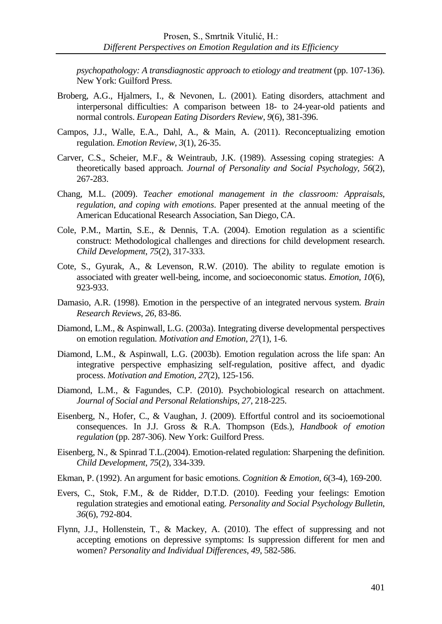*psychopathology: A transdiagnostic approach to etiology and treatment* (pp. 107-136). New York: Guilford Press.

- Broberg, A.G., Hjalmers, I., & Nevonen, L. (2001). Eating disorders, attachment and interpersonal difficulties: A comparison between 18- to 24-year-old patients and normal controls. *European Eating Disorders Review*, *9*(6), 381-396.
- Campos, J.J., Walle, E.A., Dahl, A., & Main, A. (2011). Reconceptualizing emotion regulation. *Emotion Review*, *3*(1), 26-35.
- Carver, C.S., Scheier, M.F., & Weintraub, J.K. (1989). Assessing coping strategies: A theoretically based approach. *Journal of Personality and Social Psychology, 56*(2), 267-283.
- Chang, M.L. (2009). *Teacher emotional management in the classroom: Appraisals, regulation, and coping with emotions*. Paper presented at the annual meeting of the American Educational Research Association, San Diego, CA.
- Cole, P.M., Martin, S.E., & Dennis, T.A. (2004). Emotion regulation as a scientific construct: Methodological challenges and directions for child development research. *Child Development*, *75*(2), 317-333.
- Cote, S., Gyurak, A., & Levenson, R.W. (2010). The ability to regulate emotion is associated with greater well-being, income, and socioeconomic status. *Emotion*, *10*(6), 923-933.
- Damasio, A.R. (1998). Emotion in the perspective of an integrated nervous system. *Brain Research Reviews*, *26*, 83-86.
- Diamond, L.M., & Aspinwall, L.G. (2003a). Integrating diverse developmental perspectives on emotion regulation. *Motivation and Emotion*, *27*(1), 1-6.
- Diamond, L.M., & Aspinwall, L.G. (2003b). Emotion regulation across the life span: An integrative perspective emphasizing self-regulation, positive affect, and dyadic process. *Motivation and Emotion*, *27*(2), 125-156.
- Diamond, L.M., & Fagundes, C.P. (2010). Psychobiological research on attachment. *Journal of Social and Personal Relationships, 27*, 218-225.
- Eisenberg, N., Hofer, C., & Vaughan, J. (2009). Effortful control and its socioemotional consequences. In J.J. Gross & R.A. Thompson (Eds.), *Handbook of emotion regulation* (pp. 287-306). New York: Guilford Press.
- Eisenberg, N., & Spinrad T.L.(2004). Emotion-related regulation: Sharpening the definition. *Child Development*, *75*(2), 334-339.
- Ekman, P. (1992). An argument for basic emotions. *Cognition & Emotion, [6](http://www.tandfonline.com/loi/pcem20?open=6#vol_6)*(3-4), 169-200.
- Evers, C., Stok, F.M., & de Ridder, D.T.D. (2010). Feeding your feelings: Emotion regulation strategies and emotional eating. *Personality and Social Psychology Bulletin*, *36*(6), 792-804.
- Flynn, J.J., Hollenstein, T., & Mackey, A. (2010). The effect of suppressing and not accepting emotions on depressive symptoms: Is suppression different for men and women? *Personality and Individual Differences*, *49*, 582-586.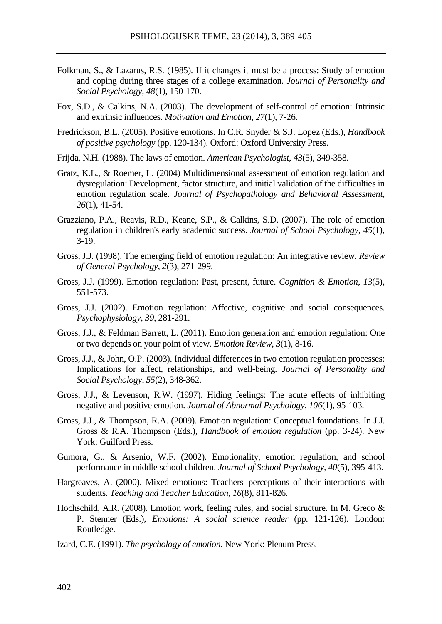- Folkman, S., & Lazarus, R.S. (1985). If it changes it must be a process: Study of emotion and coping during three stages of a college examination. *Journal of Personality and Social Psychology*, *48*(1), 150-170.
- Fox, S.D., & Calkins, N.A. (2003). The development of self-control of emotion: Intrinsic and extrinsic influences. *Motivation and Emotion*, *27*(1), 7-26.
- Fredrickson, B.L. (2005). Positive emotions. In C.R. Snyder & S.J. Lopez (Eds.), *Handbook of positive psychology* (pp. 120-134). Oxford: Oxford University Press.
- Frijda, N.H. (1988). The laws of emotion. *American Psychologist*, *43*(5), 349-358.
- Gratz, K.L., & Roemer, L. (2004) Multidimensional assessment of emotion regulation and dysregulation: Development, factor structure, and initial validation of the difficulties in emotion regulation scale. *Journal of Psychopathology and Behavioral Assessment, 26*(1), 41-54.
- Grazziano, P.A., Reavis, R.D., Keane, S.P., & Calkins, S.D. (2007). The role of emotion regulation in children's early academic success. *Journal of School Psychology*, *45*(1), 3-19.
- Gross, J.J. (1998). The emerging field of emotion regulation: An integrative review. *Review of General Psychology*, *2*(3), 271-299.
- Gross, J.J. (1999). Emotion regulation: Past, present, future. *Cognition & Emotion*, *13*(5), 551-573.
- Gross, J.J. (2002). Emotion regulation: Affective, cognitive and social consequences. *Psychophysiology*, *39*, 281-291.
- Gross, J.J., & Feldman Barrett, L. (2011). Emotion generation and emotion regulation: One or two depends on your point of view. *Emotion Review*, *3*(1), 8-16.
- Gross, J.J., & John, O.P. (2003). Individual differences in two emotion regulation processes: Implications for affect, relationships, and well-being. *Journal of Personality and Social Psychology*, *55*(2), 348-362.
- Gross, J.J., & Levenson, R.W. (1997). Hiding feelings: The acute effects of inhibiting negative and positive emotion. *Journal of Abnormal Psychology*, *106*(1), 95-103.
- Gross, J.J., & Thompson, R.A. (2009). Emotion regulation: Conceptual foundations. In J.J. Gross & R.A. Thompson (Eds.), *Handbook of emotion regulation* (pp. 3-24). New York: Guilford Press.
- Gumora, G., & Arsenio, W.F. (2002). Emotionality, emotion regulation, and school performance in middle school children. *Journal of School Psychology, 40*(5), 395-413.
- Hargreaves, A. (2000). Mixed emotions: Teachers' perceptions of their interactions with students. *Teaching and Teacher Education*, *16*(8), 811-826.
- Hochschild, A.R. (2008). Emotion work, feeling rules, and social structure. In M. Greco & P. Stenner (Eds.), *Emotions: A social science reader* (pp. 121-126). London: Routledge.
- Izard, C.E. (1991). *The psychology of emotion.* New York: Plenum Press.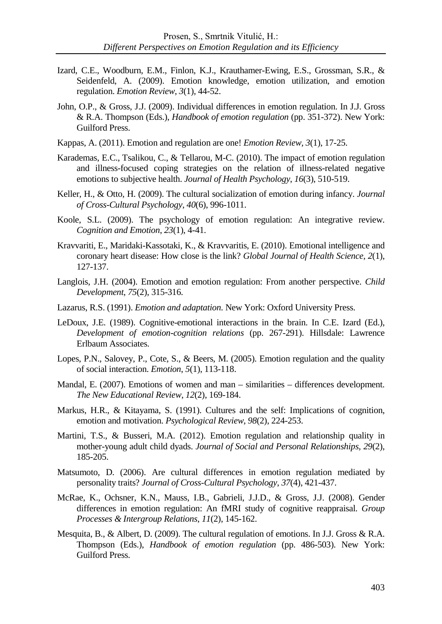- Izard, C.E., Woodburn, E.M., Finlon, K.J., Krauthamer-Ewing, E.S., Grossman, S.R., & Seidenfeld, A. (2009). Emotion knowledge, emotion utilization, and emotion regulation. *Emotion Review*, *3*(1), 44-52.
- John, O.P., & Gross, J.J. (2009). Individual differences in emotion regulation. In J.J. Gross & R.A. Thompson (Eds.), *Handbook of emotion regulation* (pp. 351-372). New York: Guilford Press.
- Kappas, A. (2011). Emotion and regulation are one! *Emotion Review, 3*(1), 17-25.
- Karademas, E.C., Tsalikou, C., & Tellarou, M-C. (2010). The impact of emotion regulation and illness-focused coping strategies on the relation of illness-related negative emotions to subjective health. *Journal of Health Psychology*, *16*(3), 510-519.
- Keller, H., & Otto, H. (2009). The cultural socialization of emotion during infancy. *Journal of Cross-Cultural Psychology*, *40*(6), 996-1011.
- Koole, S.L. (2009). The psychology of emotion regulation: An integrative review. *Cognition and Emotion*, *23*(1), 4-41.
- Kravvariti, E., Maridaki-Kassotaki, K., & Kravvaritis, E. (2010). Emotional intelligence and coronary heart disease: How close is the link? *Global Journal of Health Science*, *2*(1), 127-137.
- Langlois, J.H. (2004). Emotion and emotion regulation: From another perspective. *Child Development*, *75*(2), 315-316.
- Lazarus, R.S. (1991). *Emotion and adaptation*. New York: Oxford University Press.
- LeDoux, J.E. (1989). Cognitive-emotional interactions in the brain. In C.E. Izard (Ed.), *Development of emotion-cognition relations* (pp. 267-291). Hillsdale: Lawrence Erlbaum Associates.
- Lopes, P.N., Salovey, P., Cote, S., & Beers, M. (2005). Emotion regulation and the quality of social interaction. *Emotion*, *5*(1), 113-118.
- Mandal, E. (2007). Emotions of women and man similarities differences development. *The New Educational Review*, *12*(2), 169-184.
- Markus, H.R., & Kitayama, S. (1991). Cultures and the self: Implications of cognition, emotion and motivation. *Psychological Review*, *98*(2), 224-253.
- Martini, T.S., & Busseri, M.A. (2012). Emotion regulation and relationship quality in mother-young adult child dyads. *Journal of Social and Personal Relationships, 29*(2), 185-205.
- Matsumoto, D. (2006). Are cultural differences in emotion regulation mediated by personality traits? *Journal of Cross-Cultural Psychology*, *37*(4), 421-437.
- McRae, K., Ochsner, K.N., Mauss, I.B., Gabrieli, J.J.D., & Gross, J.J. (2008). Gender differences in emotion regulation: An fMRI study of cognitive reappraisal. *Group Processes & Intergroup Relations*, *11*(2), 145-162.
- Mesquita, B., & Albert, D. (2009). The cultural regulation of emotions. In J.J. Gross & R.A. Thompson (Eds.), *Handbook of emotion regulation* (pp. 486-503). New York: Guilford Press.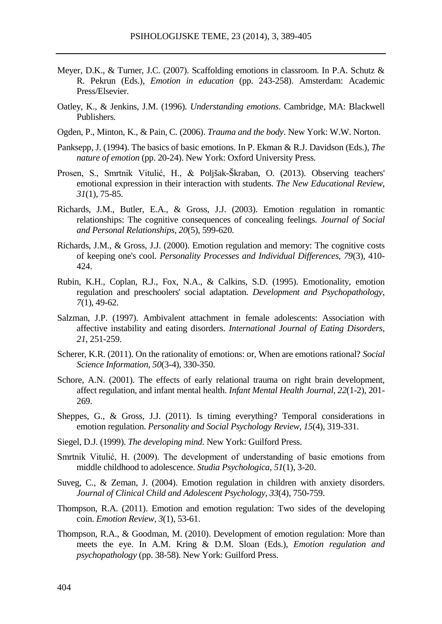- Meyer, D.K., & Turner, J.C. (2007). Scaffolding emotions in classroom. In P.A. Schutz & R. Pekrun (Eds.), *Emotion in education* (pp. 243-258). Amsterdam: Academic Press/Elsevier.
- Oatley, K., & Jenkins, J.M. (1996). *Understanding emotions*. Cambridge, MA: Blackwell Publishers.
- Ogden, P., Minton, K., & Pain, C. (2006). *Trauma and the body*. New York: W.W. Norton.
- Panksepp, J. (1994). The basics of basic emotions. In P. Ekman & R.J. Davidson (Eds.), *The nature of emotion* (pp. 20-24). New York: Oxford University Press.
- Prosen, S., Smrtnik Vitulić, H., & Poljšak-Škraban, O. (2013). Observing teachers' emotional expression in their interaction with students. *The New Educational Review*, *31*(1), 75-85.
- Richards, J.M., Butler, E.A., & Gross, J.J. (2003). Emotion regulation in romantic relationships: The cognitive consequences of concealing feelings. *Journal of Social and Personal Relationships*, *20*(5), 599-620.
- Richards, J.M., & Gross, J.J. (2000). Emotion regulation and memory: The cognitive costs of keeping one's cool. *Personality Processes and Individual Differences, 79*(3), 410- 424.
- Rubin, K.H., Coplan, R.J., Fox, N.A., & Calkins, S.D. (1995). Emotionality, emotion regulation and preschoolers' social adaptation. *Development and Psychopathology*, *7*(1), 49-62.
- Salzman, J.P. (1997). Ambivalent attachment in female adolescents: Association with affective instability and eating disorders. *International Journal of Eating Disorders, 21*, 251-259.
- Scherer, K.R. (2011). On the rationality of emotions: or, When are emotions rational? *Social Science Information*, *50*(3-4), 330-350.
- Schore, A.N. (2001). The effects of early relational trauma on right brain development, affect regulation, and infant mental health. *Infant Mental Health Journal*, *22*(1-2), 201- 269.
- Sheppes, G., & Gross, J.J. (2011). Is timing everything? Temporal considerations in emotion regulation. *Personality and Social Psychology Review*, *15*(4), 319-331.
- Siegel, D.J. (1999). *The developing mind.* New York: Guilford Press.
- Smrtnik Vitulić, H. (2009). The development of understanding of basic emotions from middle childhood to adolescence. *Studia Psychologica*, *51*(1), 3-20.
- Suveg, C., & Zeman, J. (2004). Emotion regulation in children with anxiety disorders. *Journal of Clinical Child and Adolescent Psychology*, *33*(4), 750-759.
- Thompson, R.A. (2011). Emotion and emotion regulation: Two sides of the developing coin. *Emotion Review, 3*(1), 53-61.
- Thompson, R.A., & Goodman, M. (2010). Development of emotion regulation: More than meets the eye. In A.M. Kring & D.M. Sloan (Eds.), *Emotion regulation and psychopathology* (pp. 38-58). New York: Guilford Press.